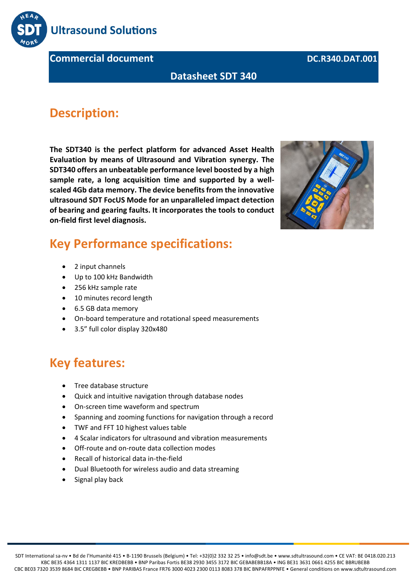

**Commercial document DC.R340.DAT.001** 

#### **Datasheet SDT 340**

#### **Description:**

**The SDT340 is the perfect platform for advanced Asset Health Evaluation by means of Ultrasound and Vibration synergy. The SDT340 offers an unbeatable performance level boosted by a high sample rate, a long acquisition time and supported by a wellscaled 4Gb data memory. The device benefits from the innovative ultrasound SDT FocUS Mode for an unparalleled impact detection of bearing and gearing faults. It incorporates the tools to conduct on-field first level diagnosis.**



#### **Key Performance specifications:**

- 2 input channels
- Up to 100 kHz Bandwidth
- 256 kHz sample rate
- 10 minutes record length
- 6.5 GB data memory
- On-board temperature and rotational speed measurements
- 3.5" full color display 320x480

#### **Key features:**

- Tree database structure
- Quick and intuitive navigation through database nodes
- On-screen time waveform and spectrum
- Spanning and zooming functions for navigation through a record
- TWF and FFT 10 highest values table
- 4 Scalar indicators for ultrasound and vibration measurements
- Off-route and on-route data collection modes
- Recall of historical data in-the-field
- Dual Bluetooth for wireless audio and data streaming
- Signal play back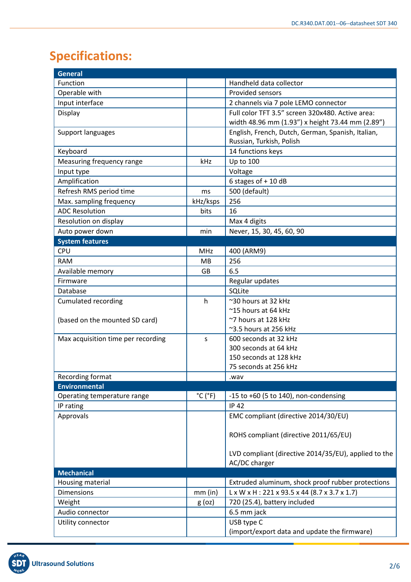# **Specifications:**

| <b>General</b>                     |                              |                                                           |  |  |
|------------------------------------|------------------------------|-----------------------------------------------------------|--|--|
| Function                           |                              | Handheld data collector                                   |  |  |
| Operable with                      |                              | <b>Provided sensors</b>                                   |  |  |
| Input interface                    |                              | 2 channels via 7 pole LEMO connector                      |  |  |
| Display                            |                              | Full color TFT 3.5" screen 320x480. Active area:          |  |  |
|                                    |                              | width 48.96 mm (1.93") x height 73.44 mm (2.89")          |  |  |
| Support languages                  |                              | English, French, Dutch, German, Spanish, Italian,         |  |  |
|                                    |                              | Russian, Turkish, Polish                                  |  |  |
| Keyboard                           |                              | 14 functions keys                                         |  |  |
| Measuring frequency range          | kHz                          | Up to 100                                                 |  |  |
| Input type                         |                              | Voltage                                                   |  |  |
| Amplification                      |                              | 6 stages of + 10 dB                                       |  |  |
| Refresh RMS period time            | ms                           | 500 (default)                                             |  |  |
| Max. sampling frequency            | kHz/ksps                     | 256                                                       |  |  |
| <b>ADC Resolution</b>              | bits                         | 16                                                        |  |  |
| Resolution on display              |                              | Max 4 digits                                              |  |  |
| Auto power down                    | min                          | Never, 15, 30, 45, 60, 90                                 |  |  |
| <b>System features</b>             |                              |                                                           |  |  |
| CPU                                | <b>MHz</b>                   | 400 (ARM9)                                                |  |  |
| <b>RAM</b>                         | <b>MB</b>                    | 256                                                       |  |  |
| Available memory                   | GB                           | 6.5                                                       |  |  |
| Firmware                           |                              | Regular updates                                           |  |  |
| Database                           |                              | SQLite                                                    |  |  |
| <b>Cumulated recording</b>         | h                            | ~30 hours at 32 kHz                                       |  |  |
|                                    |                              | ~15 hours at 64 kHz                                       |  |  |
| (based on the mounted SD card)     |                              | ~7 hours at 128 kHz                                       |  |  |
|                                    |                              | $\approx$ 3.5 hours at 256 kHz                            |  |  |
| Max acquisition time per recording | S                            | 600 seconds at 32 kHz                                     |  |  |
|                                    |                              | 300 seconds at 64 kHz                                     |  |  |
|                                    |                              | 150 seconds at 128 kHz                                    |  |  |
|                                    |                              | 75 seconds at 256 kHz                                     |  |  |
| Recording format                   |                              | wav.                                                      |  |  |
| <b>Environmental</b>               |                              |                                                           |  |  |
| Operating temperature range        | $^{\circ}$ C ( $^{\circ}$ F) | $-15$ to $+60$ (5 to 140), non-condensing                 |  |  |
| IP rating                          |                              | <b>IP 42</b>                                              |  |  |
| Approvals                          |                              | EMC compliant (directive 2014/30/EU)                      |  |  |
|                                    |                              |                                                           |  |  |
|                                    |                              | ROHS compliant (directive 2011/65/EU)                     |  |  |
|                                    |                              | LVD compliant (directive 2014/35/EU), applied to the      |  |  |
|                                    |                              | AC/DC charger                                             |  |  |
| <b>Mechanical</b>                  |                              |                                                           |  |  |
| Housing material                   |                              | Extruded aluminum, shock proof rubber protections         |  |  |
| <b>Dimensions</b>                  | $mm$ (in)                    | $L \times W \times H$ : 221 x 93.5 x 44 (8.7 x 3.7 x 1.7) |  |  |
| Weight                             | $g$ (oz)                     | 720 (25.4), battery included                              |  |  |
| Audio connector                    |                              | 6.5 mm jack                                               |  |  |
| Utility connector                  |                              | USB type C                                                |  |  |
|                                    |                              | (import/export data and update the firmware)              |  |  |

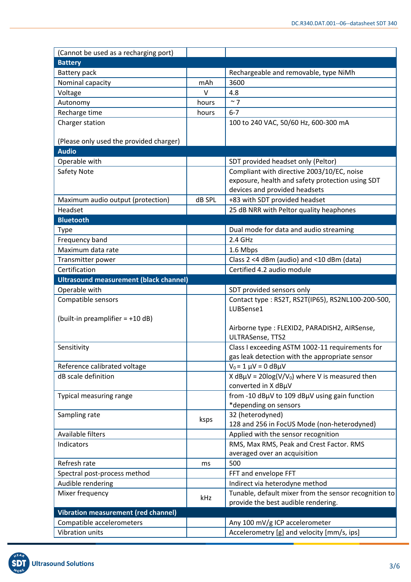| (Cannot be used as a recharging port)         |                                                   |                                                                                                   |  |  |
|-----------------------------------------------|---------------------------------------------------|---------------------------------------------------------------------------------------------------|--|--|
| <b>Battery</b>                                |                                                   |                                                                                                   |  |  |
| Battery pack                                  |                                                   | Rechargeable and removable, type NiMh                                                             |  |  |
| Nominal capacity                              | mAh                                               | 3600                                                                                              |  |  |
| Voltage                                       | $\vee$                                            | 4.8                                                                                               |  |  |
| Autonomy                                      | hours                                             | $~\sim$ 7                                                                                         |  |  |
| Recharge time                                 | hours                                             | $6 - 7$                                                                                           |  |  |
| Charger station                               |                                                   | 100 to 240 VAC, 50/60 Hz, 600-300 mA                                                              |  |  |
|                                               |                                                   |                                                                                                   |  |  |
| (Please only used the provided charger)       |                                                   |                                                                                                   |  |  |
| <b>Audio</b>                                  |                                                   |                                                                                                   |  |  |
| Operable with                                 |                                                   | SDT provided headset only (Peltor)                                                                |  |  |
| Safety Note                                   |                                                   | Compliant with directive 2003/10/EC, noise                                                        |  |  |
|                                               |                                                   | exposure, health and safety protection using SDT                                                  |  |  |
|                                               |                                                   | devices and provided headsets                                                                     |  |  |
| Maximum audio output (protection)             | dB SPL                                            | +83 with SDT provided headset                                                                     |  |  |
| Headset                                       |                                                   | 25 dB NRR with Peltor quality heaphones                                                           |  |  |
| <b>Bluetooth</b>                              |                                                   |                                                                                                   |  |  |
| Type                                          |                                                   | Dual mode for data and audio streaming                                                            |  |  |
| Frequency band                                |                                                   | 2.4 GHz                                                                                           |  |  |
| Maximum data rate                             |                                                   | 1.6 Mbps                                                                                          |  |  |
| Transmitter power                             |                                                   | Class 2 <4 dBm (audio) and <10 dBm (data)                                                         |  |  |
| Certification                                 |                                                   | Certified 4.2 audio module                                                                        |  |  |
| <b>Ultrasound measurement (black channel)</b> |                                                   |                                                                                                   |  |  |
| Operable with                                 |                                                   | SDT provided sensors only                                                                         |  |  |
| Compatible sensors                            |                                                   | Contact type: RS2T, RS2T(IP65), RS2NL100-200-500,                                                 |  |  |
|                                               |                                                   | LUBSense1                                                                                         |  |  |
| (built-in preamplifier $= +10$ dB)            |                                                   |                                                                                                   |  |  |
|                                               |                                                   | Airborne type : FLEXID2, PARADISH2, AIRSense,                                                     |  |  |
|                                               |                                                   | ULTRASense, TTS2                                                                                  |  |  |
| Sensitivity                                   |                                                   | Class I exceeding ASTM 1002-11 requirements for<br>gas leak detection with the appropriate sensor |  |  |
| Reference calibrated voltage                  |                                                   | $V_0 = 1 \mu V = 0 dB \mu V$                                                                      |  |  |
| dB scale definition                           | X dBµV = $20\log(V/V_0)$ where V is measured then |                                                                                                   |  |  |
|                                               |                                                   | converted in X dBµV                                                                               |  |  |
| Typical measuring range                       |                                                   | from -10 dBµV to 109 dBµV using gain function                                                     |  |  |
|                                               |                                                   | *depending on sensors                                                                             |  |  |
| Sampling rate                                 |                                                   | 32 (heterodyned)                                                                                  |  |  |
|                                               | ksps                                              | 128 and 256 in FocUS Mode (non-heterodyned)                                                       |  |  |
| Available filters                             |                                                   | Applied with the sensor recognition                                                               |  |  |
| Indicators                                    |                                                   | RMS, Max RMS, Peak and Crest Factor. RMS                                                          |  |  |
|                                               |                                                   | averaged over an acquisition                                                                      |  |  |
| Refresh rate                                  | ms                                                | 500                                                                                               |  |  |
| Spectral post-process method                  |                                                   | FFT and envelope FFT                                                                              |  |  |
| Audible rendering                             |                                                   | Indirect via heterodyne method                                                                    |  |  |
| Mixer frequency                               | kHz                                               | Tunable, default mixer from the sensor recognition to                                             |  |  |
|                                               |                                                   | provide the best audible rendering.                                                               |  |  |
| <b>Vibration measurement (red channel)</b>    |                                                   |                                                                                                   |  |  |
| Compatible accelerometers                     |                                                   | Any 100 mV/g ICP accelerometer                                                                    |  |  |
| Vibration units                               |                                                   | Accelerometry [g] and velocity [mm/s, ips]                                                        |  |  |

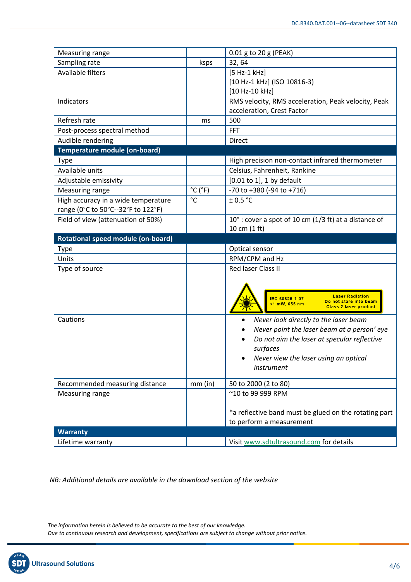| Measuring range                      |                              | 0.01 g to 20 g (PEAK)                                                               |  |  |
|--------------------------------------|------------------------------|-------------------------------------------------------------------------------------|--|--|
| Sampling rate                        | ksps                         | 32, 64                                                                              |  |  |
| Available filters                    |                              | $[5 Hz-1 kHz]$                                                                      |  |  |
|                                      |                              | [10 Hz-1 kHz] (ISO 10816-3)                                                         |  |  |
|                                      |                              | [10 Hz-10 kHz]                                                                      |  |  |
| Indicators                           |                              | RMS velocity, RMS acceleration, Peak velocity, Peak                                 |  |  |
|                                      |                              | acceleration, Crest Factor                                                          |  |  |
| Refresh rate                         | ms                           | 500                                                                                 |  |  |
| Post-process spectral method         |                              | <b>FFT</b>                                                                          |  |  |
| Audible rendering                    |                              | Direct                                                                              |  |  |
| Temperature module (on-board)        |                              |                                                                                     |  |  |
| <b>Type</b>                          |                              | High precision non-contact infrared thermometer                                     |  |  |
| Available units                      |                              | Celsius, Fahrenheit, Rankine                                                        |  |  |
| Adjustable emissivity                |                              | [0.01 to 1], 1 by default                                                           |  |  |
| <b>Measuring range</b>               | $^{\circ}$ C ( $^{\circ}$ F) | -70 to +380 (-94 to +716)                                                           |  |  |
| High accuracy in a wide temperature  | $^{\circ}$ C                 | ± 0.5 °C                                                                            |  |  |
| range (0°C to 50°C--32°F to 122°F)   |                              |                                                                                     |  |  |
| Field of view (attenuation of 50%)   |                              | 10°: cover a spot of 10 cm (1/3 ft) at a distance of                                |  |  |
|                                      |                              | 10 cm (1 ft)                                                                        |  |  |
| Rotational speed module (on-board)   |                              |                                                                                     |  |  |
| <b>Type</b>                          |                              | Optical sensor                                                                      |  |  |
| Units                                |                              | RPM/CPM and Hz                                                                      |  |  |
| Type of source                       |                              | Red laser Class II                                                                  |  |  |
|                                      |                              |                                                                                     |  |  |
|                                      |                              |                                                                                     |  |  |
|                                      |                              | <b>Laser Radiation</b><br>IEC 60825-1-07<br>Do not stare into beam<br><1 mW, 655 nm |  |  |
|                                      |                              | <b>Class 2 laser product</b>                                                        |  |  |
| Cautions                             |                              | Never look directly to the laser beam<br>$\bullet$                                  |  |  |
|                                      |                              | Never point the laser beam at a person' eye                                         |  |  |
|                                      |                              | Do not aim the laser at specular reflective                                         |  |  |
|                                      |                              | surfaces                                                                            |  |  |
|                                      |                              | Never view the laser using an optical<br>٠                                          |  |  |
|                                      |                              | instrument                                                                          |  |  |
| Recommended measuring distance       | $mm$ (in)                    | 50 to 2000 (2 to 80)                                                                |  |  |
| Measuring range                      |                              | ~10 to 99 999 RPM                                                                   |  |  |
|                                      |                              |                                                                                     |  |  |
|                                      |                              |                                                                                     |  |  |
|                                      |                              |                                                                                     |  |  |
|                                      |                              | *a reflective band must be glued on the rotating part                               |  |  |
|                                      |                              | to perform a measurement                                                            |  |  |
| <b>Warranty</b><br>Lifetime warranty |                              | Visit www.sdtultrasound.com for details                                             |  |  |

*NB: Additional details are available in the download section of the website*

*The information herein is believed to be accurate to the best of our knowledge. Due to continuous research and development, specifications are subject to change without prior notice.*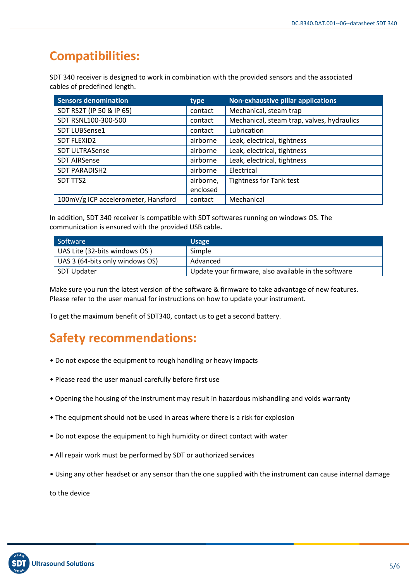## **Compatibilities:**

SDT 340 receiver is designed to work in combination with the provided sensors and the associated cables of predefined length.

| <b>Sensors denomination</b>                                      | type      | Non-exhaustive pillar applications         |
|------------------------------------------------------------------|-----------|--------------------------------------------|
| SDT RS2T (IP 50 & IP 65)                                         | contact   | Mechanical, steam trap                     |
| SDT RSNL100-300-500                                              | contact   | Mechanical, steam trap, valves, hydraulics |
| Lubrication<br>SDT LUBSense1<br>contact                          |           |                                            |
| <b>SDT FLEXID2</b>                                               | airborne  | Leak, electrical, tightness                |
| <b>SDT ULTRASense</b><br>Leak, electrical, tightness<br>airborne |           |                                            |
| <b>SDT AIRSense</b>                                              | airborne  | Leak, electrical, tightness                |
| <b>SDT PARADISH2</b>                                             | airborne  | Electrical                                 |
| SDT TTS2                                                         | airborne, | <b>Tightness for Tank test</b>             |
|                                                                  | enclosed  |                                            |
| 100mV/g ICP accelerometer, Hansford                              | contact   | Mechanical                                 |

In addition, SDT 340 receiver is compatible with SDT softwares running on windows OS. The communication is ensured with the provided USB cable**.**

| Software                        | <b>Usage</b>                                         |
|---------------------------------|------------------------------------------------------|
| UAS Lite (32-bits windows OS)   | Simple                                               |
| UAS 3 (64-bits only windows OS) | Advanced                                             |
| SDT Updater                     | Update your firmware, also available in the software |

Make sure you run the latest version of the software & firmware to take advantage of new features. Please refer to the user manual for instructions on how to update your instrument.

To get the maximum benefit of SDT340, contact us to get a second battery.

### **Safety recommendations:**

- Do not expose the equipment to rough handling or heavy impacts
- Please read the user manual carefully before first use
- Opening the housing of the instrument may result in hazardous mishandling and voids warranty
- The equipment should not be used in areas where there is a risk for explosion
- Do not expose the equipment to high humidity or direct contact with water
- All repair work must be performed by SDT or authorized services
- Using any other headset or any sensor than the one supplied with the instrument can cause internal damage

to the device